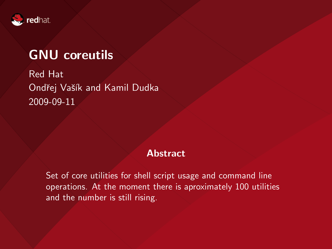

## GNU coreutils

Red Hat Ondřej Vašík and Kamil Dudka 2009-09-11

#### Abstract

Set of core utilities for shell script usage and command line operations. At the moment there is aproximately 100 utilities and the number is still rising.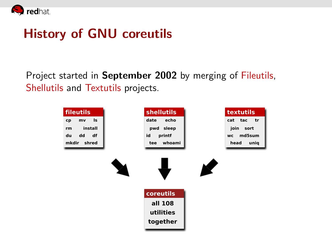

## History of GNU coreutils

Project started in September 2002 by merging of Fileutils, Shellutils and Textutils projects.

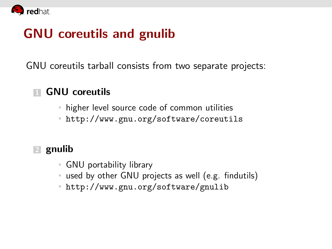

## GNU coreutils and gnulib

GNU coreutils tarball consists from two separate projects:

### 1 GNU coreutils

- higher level source code of common utilities
- <http://www.gnu.org/software/coreutils>

### 2 gnulib

- GNU portability library
- used by other GNU projects as well (e.g. findutils)
- <http://www.gnu.org/software/gnulib>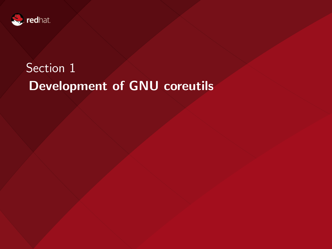

# Section<sub>1</sub> Development of GNU coreutils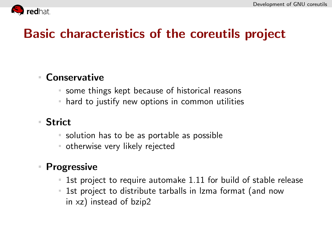

## Basic characteristics of the coreutils project

### Conservative

- some things kept because of historical reasons
- hard to justify new options in common utilities

### Strict

- solution has to be as portable as possible
- otherwise very likely rejected

### Progressive

- 1st project to require automake 1.11 for build of stable release
- 1st project to distribute tarballs in lzma format (and now in xz) instead of bzip2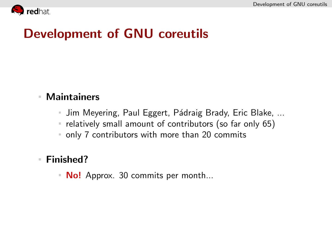

## Development of GNU coreutils

### Maintainers

- Jim Meyering, Paul Eggert, Pádraig Brady, Eric Blake, ...
- $\blacksquare$  relatively small amount of contributors (so far only 65)
- only 7 contributors with more than 20 commits

#### Finished?

 $\blacksquare$  **No!** Approx. 30 commits per month...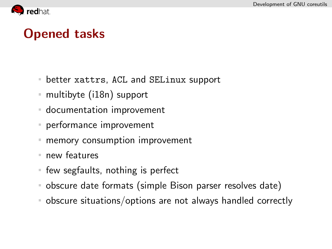

## Opened tasks

- better xattrs, ACL and SELinux support  $\mathbb{R}^n$
- multibyte (i18n) support
- documentation improvement
- performance improvement
- memory consumption improvement
- new features
- **f** few segfaults, nothing is perfect
- obscure date formats (simple Bison parser resolves date)
- obscure situations/options are not always handled correctly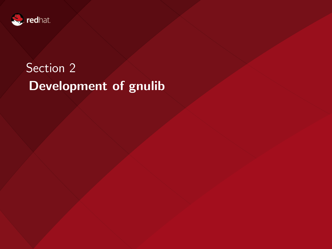

# Section 2 Development of gnulib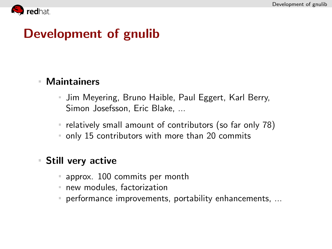

## Development of gnulib

#### Maintainers  $\mathbb{R}^n$

- Jim Meyering, Bruno Haible, Paul Eggert, Karl Berry, Simon Josefsson, Eric Blake, ...
- relatively small amount of contributors (so far only 78)
- only 15 contributors with more than 20 commits

#### Still very active  $\blacksquare$

- approx. 100 commits per month
- new modules, factorization
- **PEREFISHERF** performance improvements, portability enhancements, ...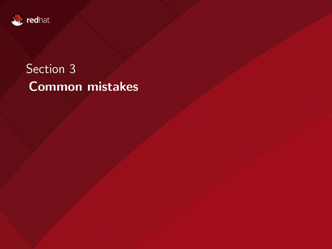

# Section 3 Common mistakes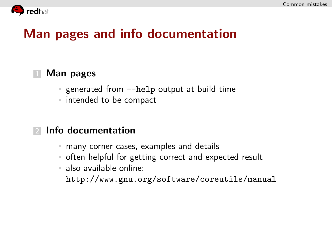

## Man pages and info documentation

### **1 Man pages**

- generated from  $-\text{help}$  output at build time
- intended to be compact

#### 2 Info documentation

- many corner cases, examples and details
- often helpful for getting correct and expected result
- also available online:

<http://www.gnu.org/software/coreutils/manual>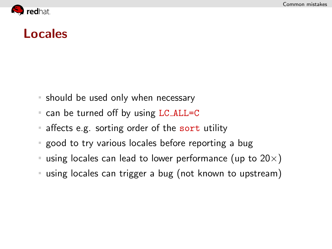

### Locales

- should be used only when necessary
- can be turned off by using LC\_ALL=C
- affects e.g. sorting order of the sort utility  $\mathbb{R}^n$
- good to try various locales before reporting a bug
- using locales can lead to lower performance (up to  $20\times$ )
- using locales can trigger a bug (not known to upstream)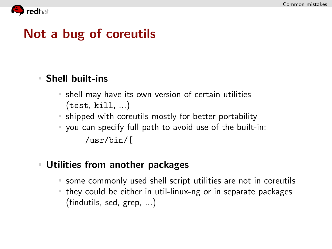

## Not a bug of coreutils

### Shell built-ins

- shell may have its own version of certain utilities  $\equiv$ (test, kill, ...)
- shipped with coreutils mostly for better portability
- you can specify full path to avoid use of the built-in: /usr/bin/[

### Utilities from another packages

- some commonly used shell script utilities are not in coreutils
- they could be either in util-linux-ng or in separate packages (findutils, sed, grep, ...)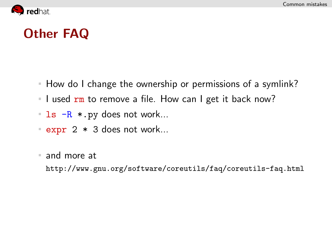

## Other FAQ

- How do I change the ownership or permissions of a symlink?
- I used  $rm$  to remove a file. How can I get it back now?
- $\blacksquare$  ls  $-R$  \*.py does not work...
- $\sqrt{2}$   $\times$  3 does not work...
- and more at

<http://www.gnu.org/software/coreutils/faq/coreutils-faq.html>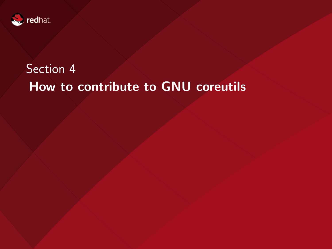

## Section 4 How to contribute to GNU coreutils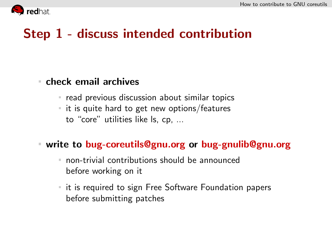

## Step 1 - discuss intended contribution

### check email archives

- $\blacksquare$  read previous discussion about similar topics
- $\blacksquare$  it is quite hard to get new options/features to "core" utilities like ls, cp, ...

### write to bug-coreutils@gnu.org or bug-gnulib@gnu.org

- non-trivial contributions should be announced before working on it
- it is required to sign Free Software Foundation papers before submitting patches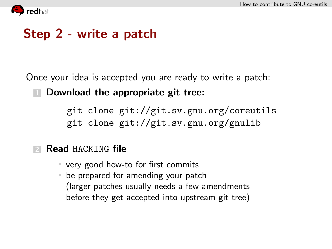

## Step 2 - write a patch

Once your idea is accepted you are ready to write a patch:

**1 Download the appropriate git tree:** 

git clone git://git.sv.gnu.org/coreutils git clone git://git.sv.gnu.org/gnulib

### Read HACKING file

- very good how-to for first commits
- be prepared for amending your patch (larger patches usually needs a few amendments before they get accepted into upstream git tree)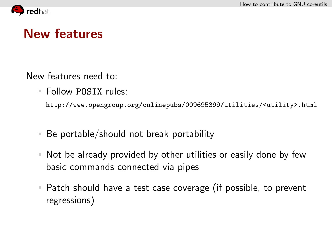

## New features

New features need to:

Follow POSIX rules:

http://www.opengroup.org/onlinepubs/009695399/utilities/<utility>.html

- Be portable/should not break portability  $\mathbb{R}^n$
- Not be already provided by other utilities or easily done by few  $\mathbb{R}^n$ basic commands connected via pipes
- Patch should have a test case coverage (if possible, to prevent  $\mathbb{R}^n$ regressions)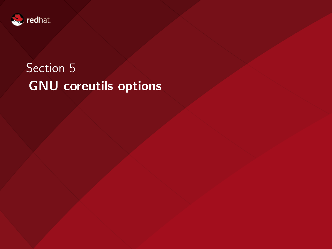

# Section<sub>5</sub> GNU coreutils options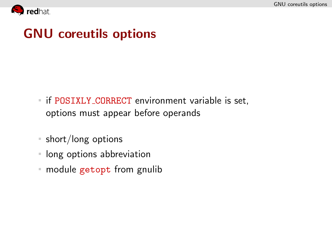

## GNU coreutils options

- **F** if POSIXLY\_CORRECT environment variable is set, options must appear before operands
- short/long options
- **If** long options abbreviation
- module getopt from gnulib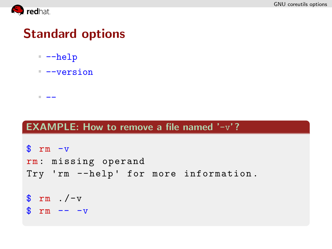

## Standard options

--help

--

 $-<sub>version</sub>$ 

#### EXAMPLE: How to remove a file named '-v'?

```
\text{Im } -vrm: missing operand
Try 'rm --help' for more information.
$ rm . /-v
s rm -- -v
```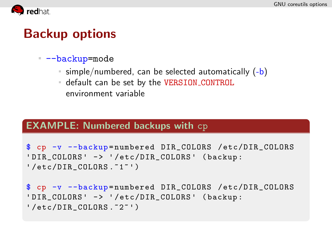

## Backup options

#### $-**backup**$ =mode

- $\equiv$  simple/numbered, can be selected automatically (-b)
- default can be set by the VERSION CONTROL environment variable

#### EXAMPLE: Numbered backups with cp

```
$ cp -v --backup = numbered DIR_COLORS /etc/DIR_COLORS
'DIR_COLORS' -> '/etc/DIR_COLORS' (backup:
' /etc/DIR_COLORS .~1~ ')
```

```
$ cp -v --backup = numbered DIR_COLORS /etc/DIR_COLORS
'DIR_COLORS' -> '/etc/DIR_COLORS' (backup:
' /etc/DIR_COLORS .~2~ ')
```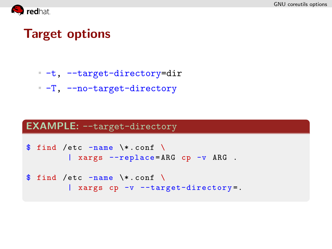

## Target options

- -t, --target-directory=dir
- -T, --no-target-directory

#### EXAMPLE: --target-directory

```
$ find /etc -name \*.conf \
        | xargs --replace=ARG cp -v ARG.
```

```
$ find /etc -name \*.conf \
        | xargs cp -v --target-directory=.
```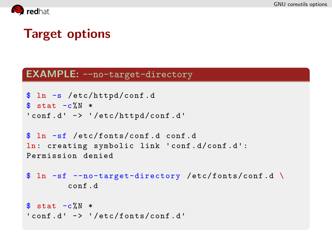

## Target options

#### EXAMPLE: --no-target-directory

```
$ ln -s /etc/httpd/conf . d
$ stat -c%N *
'conf.d' -> '/etc/httpd/conf.d'
```

```
$ ln -sf /etc/fonts/conf . d conf . d
ln: creating symbolic link 'conf . d/conf . d':
Permission denied
```

```
$ ln -sf --no-target-directory /etc/fonts/conf . d \
        conf . d
```

```
$ stat -c%N *
' conf.d' \rightarrow '/etc/fonts/conf.d'
```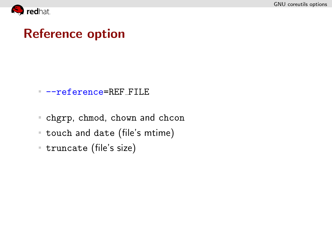

## Reference option

#### --reference=REF FILE

- chgrp, chmod, chown and chcon
- touch and date (file's mtime)
- truncate (file's size)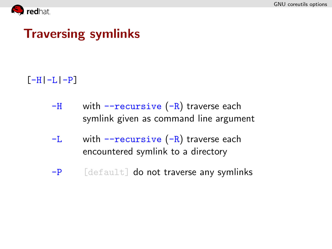

## Traversing symlinks

### $[-H]-L[-P]$

- $-H$  with  $-$ recursive  $(-R)$  traverse each symlink given as command line argument
- $-L$  with  $-recursively (-R)$  traverse each encountered symlink to a directory
- $-P$  [default] do not traverse any symlinks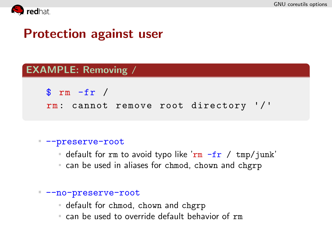

## Protection against user

#### EXAMPLE: Removing /

 $\frac{1}{2}$  rm -fr /

rm: cannot remove root directory '/'

#### --preserve-root

- default for rm to avoid typo like 'rm  $-$ fr / tmp/junk'
- can be used in aliases for chmod, chown and chgrp

#### --no-preserve-root

- default for chmod, chown and chgrp
- can be used to override default behavior of rm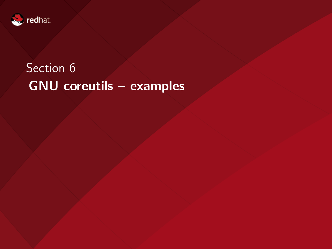

# Section 6 GNU coreutils – examples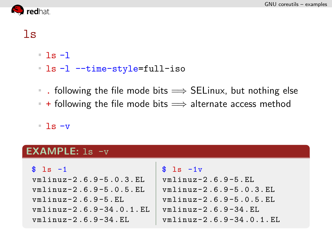

### $\overline{\phantom{a}}$

- $-1s -1$
- ls -l --time-style=full-iso
- tollowing the file mode bits  $\implies$  SELinux, but nothing else
- $+$  following the file mode bits  $\implies$  alternate access method

 $\overline{\phantom{a}}$  ls  $\overline{\phantom{a}}$ 

#### EXAMPLE: ls -v

| $$1s -1$                | $s$ 1s $-1v$            |
|-------------------------|-------------------------|
| vmlinuz-2.6.9-5.0.3.EL  | $v$ mlinuz-2.6.9-5.EL   |
| vmlinuz-2.6.9-5.0.5.EL  | vmlinuz-2.6.9-5.0.3.EL  |
| $vmlinuz-2.6.9-5.EL$    | vmlinuz-2.6.9-5.0.5.EL  |
| vmlinuz-2.6.9-34.0.1.EL | $v$ mlinuz-2.6.9-34.EL  |
| $vmlinuz-2.6.9-34.EL$   | vmlinuz-2.6.9-34.0.1.EL |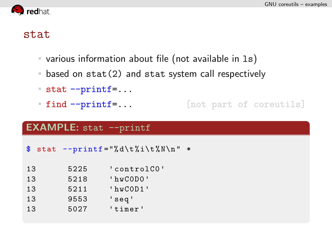

### stat

- various information about file (not available in ls)
- based on stat(2) and stat system call respectively
- stat --printf=...
- **find --printf=...** [not part of coreutils]

#### **EXAMPLE:** stat --printf

 $$$  stat --printf="%d\t%i\t%N\n" \*

| 13  | 5225 | 'controlCO'    |
|-----|------|----------------|
| 13  | 5218 | $'$ hwCODO $'$ |
| 13  | 5211 | $'$ hwCOD1 $'$ |
| 13  | 9553 | 'seq'          |
| 1.3 | 5027 | 'timer'        |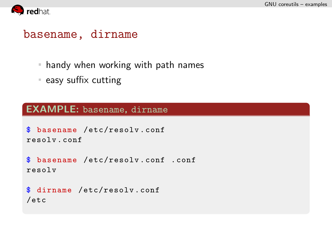

### basename, dirname

- handy when working with path names
- $=$  easy suffix cutting

#### EXAMPLE: basename, dirname

```
$ basename /etc/resolv . conf
resolv . conf
```

```
$ basename /etc/resolv . conf . conf
resolv
```

```
$ dirname /etc/resolv . conf
/etc
```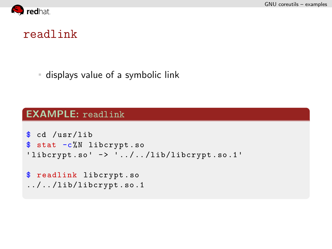

### readlink

displays value of a symbolic link

#### EXAMPLE: readlink

```
$ cd /usr/lib
$ stat -c%N libcrypt.so
'libcrypt.so' \rightarrow '../../lib/libcrypt.so.1'
$ readlink libcrypt . so
\ldots / \ldots /lib/libcrypt.so.1
```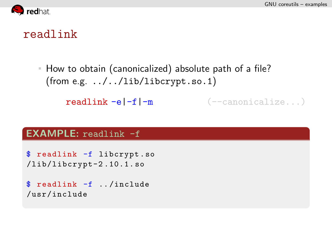

### readlink

How to obtain (canonicalized) absolute path of a file? (from e.g. ../../lib/libcrypt.so.1)

```
\text{readlink } -e \mid -f \mid -m (--canonicalize...)
```
#### EXAMPLE: readlink -f

```
$ readlink -f libcrypt . so
/lib/libcrypt-2 .10.1. so
```

```
$ readlink -f ./include
/usr/include
```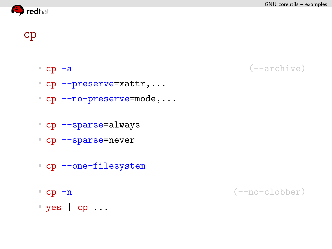GNU coreutils – examples



cp

- 
- cp -a (--archive)
- cp --preserve=xattr,...
- cp --no-preserve=mode,...
- cp --sparse=always
- cp --sparse=never
- 
- 
- cp --one-filesystem
- 
- cp -n (--no-clobber)
- yes | cp ...
	-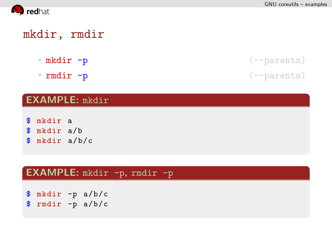

### mkdir, rmdir

- 
- rmdir -p (--parents)

#### EXAMPLE: mkdir

- \$ mkdir a
- \$ mkdir a/b
- \$ mkdir a/b/c

#### EXAMPLE: mkdir -p, rmdir -p

\$ mkdir -p a/b/c \$ rmdir -p a/b/c

mkdir -p (--parents)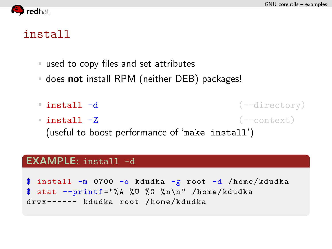

### install

- used to copy files and set attributes
- does not install RPM (neither DEB) packages!
- **install -d** (--directory)  $\blacksquare$  install  $\lnot Z$  (--context) (useful to boost performance of 'make install')

#### EXAMPLE: install -d

\$ install -m 0700 -o kdudka -g root -d /home/kdudka  $$$  stat --printf="%A %U %G %n\n" /home/kdudka drwx------ kdudka root /home/kdudka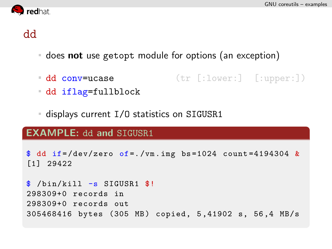

### dd

- does not use getopt module for options (an exception)
- dd conv=ucase (tr [:lower:] [:upper:])
- dd iflag=fullblock
- displays current I/O statistics on SIGUSR1

#### **EXAMPLE: dd and SIGUSR1**

```
\text{\$} dd if=/dev/zero of=./vm.img bs=1024 count=4194304 &
[1] 29422
```

```
$ /bin/kill -s SIGUSR1 $!
298309+0 records in
298309+0 records out
305468416 bytes (305 MB) copied, 5,41902 s, 56,4 MB/s
```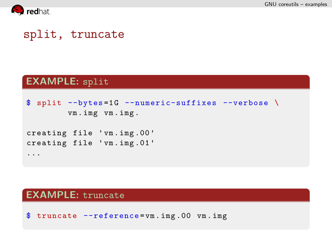

### split, truncate

#### EXAMPLE: split

```
\frac{1}{2} split --bytes=1G --numeric-suffixes --verbose \
         vm . img vm . img .
creating file 'vm . img .00 '
creating file 'vm . img .01 '
...
```
#### EXAMPLE: truncate

\$ truncate --reference = vm . img .00 vm . img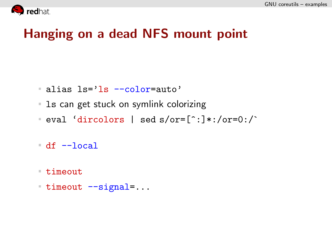

## Hanging on a dead NFS mount point

- alias ls='ls --color=auto'
- **Languila 1** and symlink colorizing
- eval 'dircolors | sed  $s/$ or= $[^{\frown};]$ \*:/or=0:/`
- df --local
- timeout
- $-$  timeout  $-$ -signal=...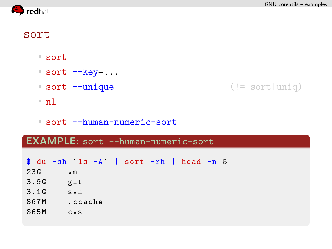

### sort

- sort
- $\overline{\ }$  sort  $\overline{-k}$ ey=...
- sort --unique (!= sort|uniq)
- nl
- sort --human-numeric-sort

### EXAMPLE: sort --human-numeric-sort

|      |         | $\text{\$}$ du -sh ls -A   sort -rh   head -n 5 |
|------|---------|-------------------------------------------------|
| 23G  | vm      |                                                 |
| 3.9G | git     |                                                 |
| 3.1G | svn     |                                                 |
| 867M | .ccache |                                                 |
| 865M | CVS     |                                                 |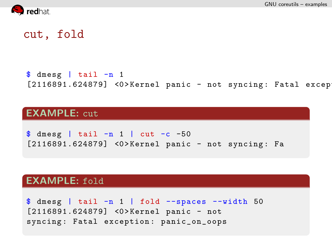

### cut, fold

 $$$  dmesg | tail  $-n$  1  $[2116891.624879]$  <0>Kernel panic - not syncing: Fatal excep

#### EXAMPLE: cut

 $\frac{1}{2}$  dmesg | tail -n 1 | cut -c -50 [2116891.624879] <0>Kernel panic - not syncing: Fa

#### EXAMPLE: fold

 $\frac{1}{2}$  dmesg | tail -n 1 | fold --spaces --width 50 [2116891.624879] <0>Kernel panic - not syncing: Fatal exception: panic\_on\_oops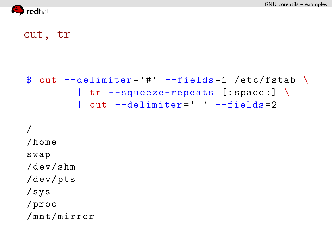

### cut, tr

```
\text{\$ cut --delimiter= '# ' --fields=1 /etc/fstab } \setminus| tr --squeeze-repeats [: space :] \
          | cut --delimiter=' ' --fields = 2
```

```
/
/home
swap
/dev/shm
/dev/pts
/sys
/proc
/mnt/mirror
```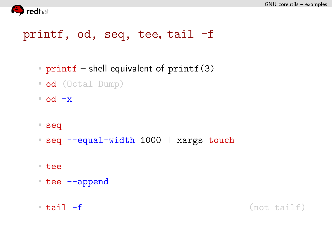

### printf, od, seq, tee, tail -f

- printf shell equivalent of  $print(3)$
- od (Octal Dump)
- $\bullet$  od  $-x$
- seq
- seq --equal-width 1000 | xargs touch
- tee
- tee --append
- 

tail -f (not tailf)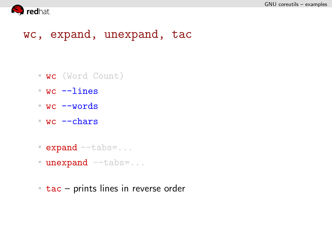

### wc, expand, unexpand, tac

- wc (Word Count)
- wc --lines
- wc --words
- wc --chars
- **expand** --tabs=...
- **unexpand** --tabs=...
- $\overline{\phantom{a}}$  tac prints lines in reverse order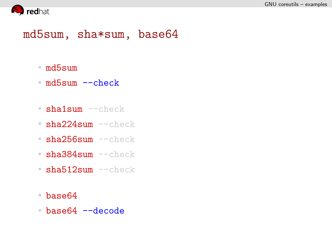

### md5sum, sha\*sum, base64

- md5sum
- md5sum --check
- sha1sum --check
- sha224sum --check
- sha256sum --check
- $\blacksquare$ sha384sum  $--$ check
- sha512sum --check
- base64
- base64 --decode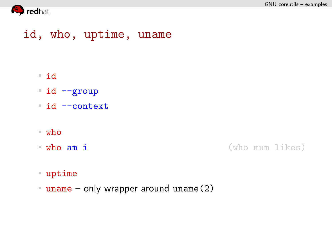

### id, who, uptime, uname

#### id

- id --group
- id --context
- who
- 

who am i (who mum likes)

#### uptime

uname – only wrapper around uname (2)